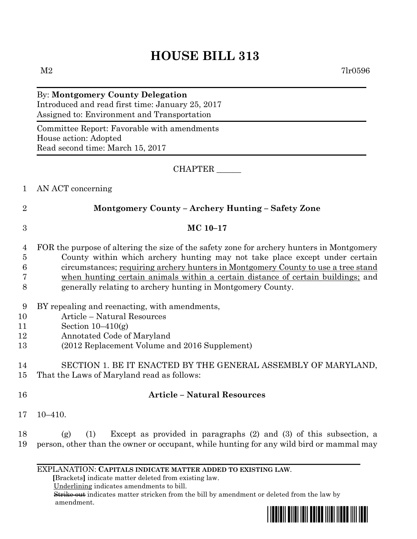# **HOUSE BILL 313**

 $M2$  7lr0596

## By: **Montgomery County Delegation** Introduced and read first time: January 25, 2017 Assigned to: Environment and Transportation

Committee Report: Favorable with amendments House action: Adopted Read second time: March 15, 2017

### CHAPTER \_\_\_\_\_\_

#### 1 AN ACT concerning

2 **Montgomery County – Archery Hunting – Safety Zone**

### 3 **MC 10–17**

- 4 FOR the purpose of altering the size of the safety zone for archery hunters in Montgomery 5 County within which archery hunting may not take place except under certain 6 circumstances; requiring archery hunters in Montgomery County to use a tree stand 7 when hunting certain animals within a certain distance of certain buildings; and 8 generally relating to archery hunting in Montgomery County.
- 9 BY repealing and reenacting, with amendments,
- 10 Article Natural Resources
- 11 Section 10–410(g)
- 12 Annotated Code of Maryland
- 13 (2012 Replacement Volume and 2016 Supplement)

# 14 SECTION 1. BE IT ENACTED BY THE GENERAL ASSEMBLY OF MARYLAND,

- 15 That the Laws of Maryland read as follows:
- 

## 16 **Article – Natural Resources**

17 10–410.

18 (g) (1) Except as provided in paragraphs (2) and (3) of this subsection, a 19 person, other than the owner or occupant, while hunting for any wild bird or mammal may

#### EXPLANATION: **CAPITALS INDICATE MATTER ADDED TO EXISTING LAW**.

 **[**Brackets**]** indicate matter deleted from existing law.

Underlining indicates amendments to bill.

 Strike out indicates matter stricken from the bill by amendment or deleted from the law by amendment.